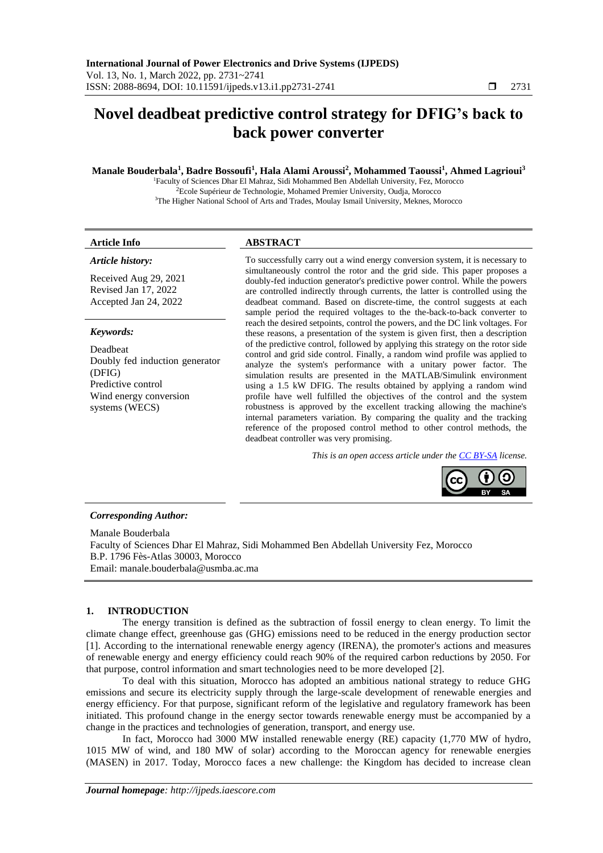## **Novel deadbeat predictive control strategy for DFIG's back to back power converter**

#### **Manale Bouderbala<sup>1</sup> , Badre Bossoufi<sup>1</sup> , Hala Alami Aroussi<sup>2</sup> , Mohammed Taoussi<sup>1</sup> , Ahmed Lagrioui<sup>3</sup>**

<sup>1</sup>Faculty of Sciences Dhar El Mahraz, Sidi Mohammed Ben Abdellah University, Fez, Morocco <sup>2</sup>Ecole Supérieur de Technologie, Mohamed Premier University, Oudja, Morocco <sup>3</sup>The Higher National School of Arts and Trades, Moulay Ismail University, Meknes, Morocco

#### **Article Info ABSTRACT**

#### *Article history:*

Received Aug 29, 2021 Revised Jan 17, 2022 Accepted Jan 24, 2022

#### *Keywords:*

Deadbeat Doubly fed induction generator (DFIG) Predictive control Wind energy conversion systems (WECS)

To successfully carry out a wind energy conversion system, it is necessary to simultaneously control the rotor and the grid side. This paper proposes a doubly-fed induction generator's predictive power control. While the powers are controlled indirectly through currents, the latter is controlled using the deadbeat command. Based on discrete-time, the control suggests at each sample period the required voltages to the the-back-to-back converter to reach the desired setpoints, control the powers, and the DC link voltages. For these reasons, a presentation of the system is given first, then a description of the predictive control, followed by applying this strategy on the rotor side control and grid side control. Finally, a random wind profile was applied to analyze the system's performance with a unitary power factor. The simulation results are presented in the MATLAB/Simulink environment using a 1.5 kW DFIG. The results obtained by applying a random wind profile have well fulfilled the objectives of the control and the system robustness is approved by the excellent tracking allowing the machine's internal parameters variation. By comparing the quality and the tracking reference of the proposed control method to other control methods, the deadbeat controller was very promising.

*This is an open access article under the [CC BY-SA](https://creativecommons.org/licenses/by-sa/4.0/) license.*



#### *Corresponding Author:*

Manale Bouderbala Faculty of Sciences Dhar El Mahraz, Sidi Mohammed Ben Abdellah University Fez, Morocco B.P. 1796 Fès-Atlas 30003, Morocco Email: [manale.bouderbala@usmba.ac.ma](mailto:manale.bouderbala@usmba.ac.ma)

#### **1. INTRODUCTION**

The energy transition is defined as the subtraction of fossil energy to clean energy. To limit the climate change effect, greenhouse gas (GHG) emissions need to be reduced in the energy production sector [1]. According to the international renewable energy agency (IRENA), the promoter's actions and measures of renewable energy and energy efficiency could reach 90% of the required carbon reductions by 2050. For that purpose, control information and smart technologies need to be more developed [2].

To deal with this situation, Morocco has adopted an ambitious national strategy to reduce GHG emissions and secure its electricity supply through the large-scale development of renewable energies and energy efficiency. For that purpose, significant reform of the legislative and regulatory framework has been initiated. This profound change in the energy sector towards renewable energy must be accompanied by a change in the practices and technologies of generation, transport, and energy use.

In fact, Morocco had 3000 MW installed renewable energy (RE) capacity (1,770 MW of hydro, 1015 MW of wind, and 180 MW of solar) according to the Moroccan agency for renewable energies (MASEN) in 2017. Today, Morocco faces a new challenge: the Kingdom has decided to increase clean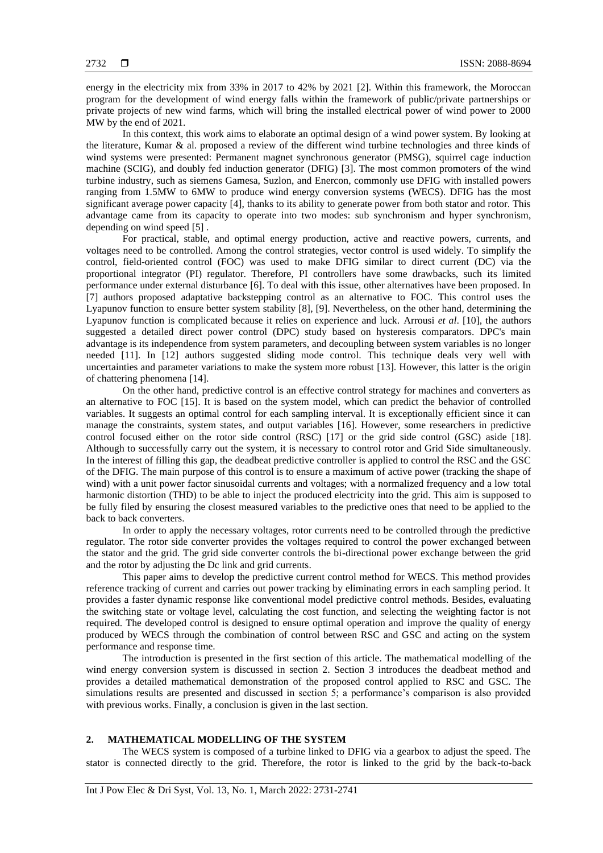energy in the electricity mix from 33% in 2017 to 42% by 2021 [2]. Within this framework, the Moroccan program for the development of wind energy falls within the framework of public/private partnerships or private projects of new wind farms, which will bring the installed electrical power of wind power to 2000 MW by the end of 2021.

In this context, this work aims to elaborate an optimal design of a wind power system. By looking at the literature, Kumar & al. proposed a review of the different wind turbine technologies and three kinds of wind systems were presented: Permanent magnet synchronous generator (PMSG), squirrel cage induction machine (SCIG), and doubly fed induction generator (DFIG) [3]. The most common promoters of the wind turbine industry, such as siemens Gamesa, Suzlon, and Enercon, commonly use DFIG with installed powers ranging from 1.5MW to 6MW to produce wind energy conversion systems (WECS). DFIG has the most significant average power capacity [4], thanks to its ability to generate power from both stator and rotor. This advantage came from its capacity to operate into two modes: sub synchronism and hyper synchronism, depending on wind speed [5] .

For practical, stable, and optimal energy production, active and reactive powers, currents, and voltages need to be controlled. Among the control strategies, vector control is used widely. To simplify the control, field-oriented control (FOC) was used to make DFIG similar to direct current (DC) via the proportional integrator (PI) regulator. Therefore, PI controllers have some drawbacks, such its limited performance under external disturbance [6]. To deal with this issue, other alternatives have been proposed. In [7] authors proposed adaptative backstepping control as an alternative to FOC. This control uses the Lyapunov function to ensure better system stability [8], [9]. Nevertheless, on the other hand, determining the Lyapunov function is complicated because it relies on experience and luck. Arrousi *et al*. [10], the authors suggested a detailed direct power control (DPC) study based on hysteresis comparators. DPC's main advantage is its independence from system parameters, and decoupling between system variables is no longer needed [11]. In [12] authors suggested sliding mode control. This technique deals very well with uncertainties and parameter variations to make the system more robust [13]. However, this latter is the origin of chattering phenomena [14].

On the other hand, predictive control is an effective control strategy for machines and converters as an alternative to FOC [15]. It is based on the system model, which can predict the behavior of controlled variables. It suggests an optimal control for each sampling interval. It is exceptionally efficient since it can manage the constraints, system states, and output variables [16]. However, some researchers in predictive control focused either on the rotor side control (RSC) [17] or the grid side control (GSC) aside [18]. Although to successfully carry out the system, it is necessary to control rotor and Grid Side simultaneously. In the interest of filling this gap, the deadbeat predictive controller is applied to control the RSC and the GSC of the DFIG. The main purpose of this control is to ensure a maximum of active power (tracking the shape of wind) with a unit power factor sinusoidal currents and voltages; with a normalized frequency and a low total harmonic distortion (THD) to be able to inject the produced electricity into the grid. This aim is supposed to be fully filed by ensuring the closest measured variables to the predictive ones that need to be applied to the back to back converters.

In order to apply the necessary voltages, rotor currents need to be controlled through the predictive regulator. The rotor side converter provides the voltages required to control the power exchanged between the stator and the grid. The grid side converter controls the bi-directional power exchange between the grid and the rotor by adjusting the Dc link and grid currents.

This paper aims to develop the predictive current control method for WECS. This method provides reference tracking of current and carries out power tracking by eliminating errors in each sampling period. It provides a faster dynamic response like conventional model predictive control methods. Besides, evaluating the switching state or voltage level, calculating the cost function, and selecting the weighting factor is not required. The developed control is designed to ensure optimal operation and improve the quality of energy produced by WECS through the combination of control between RSC and GSC and acting on the system performance and response time.

The introduction is presented in the first section of this article. The mathematical modelling of the wind energy conversion system is discussed in section 2. Section 3 introduces the deadbeat method and provides a detailed mathematical demonstration of the proposed control applied to RSC and GSC. The simulations results are presented and discussed in section 5; a performance's comparison is also provided with previous works. Finally, a conclusion is given in the last section.

#### **2. MATHEMATICAL MODELLING OF THE SYSTEM**

The WECS system is composed of a turbine linked to DFIG via a gearbox to adjust the speed. The stator is connected directly to the grid. Therefore, the rotor is linked to the grid by the back-to-back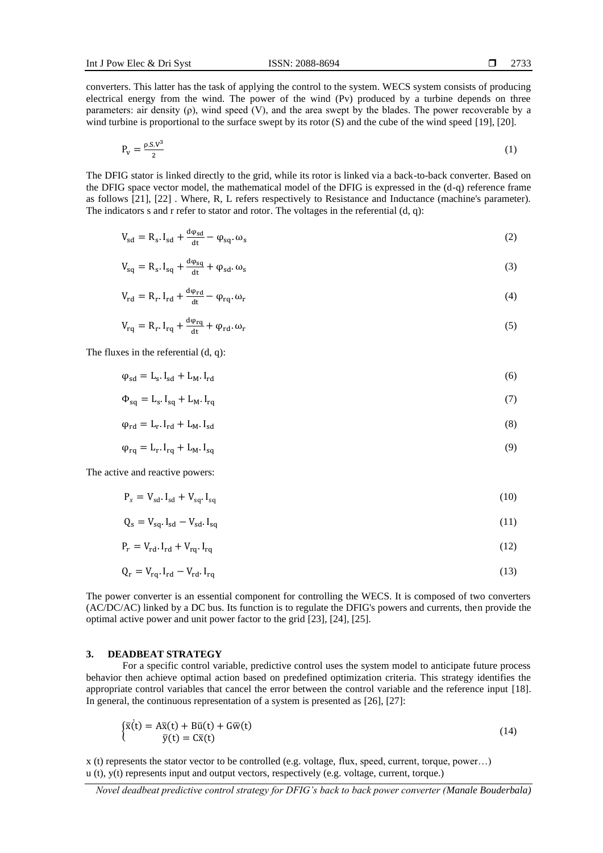converters. This latter has the task of applying the control to the system. WECS system consists of producing electrical energy from the wind. The power of the wind (Pv) produced by a turbine depends on three parameters: air density (ρ), wind speed (V), and the area swept by the blades. The power recoverable by a wind turbine is proportional to the surface swept by its rotor  $(S)$  and the cube of the wind speed [19], [20].

$$
P_v = \frac{\rho S_v v^3}{2} \tag{1}
$$

The DFIG stator is linked directly to the grid, while its rotor is linked via a back-to-back converter. Based on the DFIG space vector model, the mathematical model of the DFIG is expressed in the (d-q) reference frame as follows [21], [22] . Where, R, L refers respectively to Resistance and Inductance (machine's parameter). The indicators s and r refer to stator and rotor. The voltages in the referential (d, q):

$$
V_{sd} = R_s \cdot I_{sd} + \frac{d\varphi_{sd}}{dt} - \varphi_{sq} \cdot \omega_s \tag{2}
$$

$$
V_{sq} = R_s \cdot I_{sq} + \frac{d\varphi_{sq}}{dt} + \varphi_{sd} \cdot \omega_s \tag{3}
$$

$$
V_{\rm rd} = R_{\rm r} I_{\rm rd} + \frac{d\varphi_{\rm rd}}{dt} - \varphi_{\rm rq} . \omega_{\rm r}
$$
 (4)

$$
V_{rq} = R_r I_{rq} + \frac{d\varphi_{rq}}{dt} + \varphi_{rd}.\omega_r
$$
\n(5)

The fluxes in the referential (d, q):

$$
\varphi_{\rm sd} = L_{\rm s} I_{\rm sd} + L_{\rm M} I_{\rm rd} \tag{6}
$$

$$
\Phi_{\text{sq}} = L_{\text{s}} \cdot I_{\text{sq}} + L_{\text{M}} \cdot I_{\text{rq}} \tag{7}
$$

$$
\varphi_{\rm rd} = L_{\rm r} \cdot I_{\rm rd} + L_{\rm M} \cdot I_{\rm sd} \tag{8}
$$

$$
\varphi_{rq} = L_r I_{rq} + L_M I_{sq} \tag{9}
$$

The active and reactive powers:

$$
P_s = V_{sd} \cdot I_{sd} + V_{sq} \cdot I_{sq} \tag{10}
$$

$$
Q_s = V_{sq} I_{sd} - V_{sd} I_{sq} \tag{11}
$$

$$
P_r = V_{\rm rd} \cdot I_{\rm rd} + V_{\rm rq} \cdot I_{\rm rq}
$$
 (12)

$$
Q_r = V_{rq} I_{rd} - V_{rd} I_{rq}
$$
\n(13)

The power converter is an essential component for controlling the WECS. It is composed of two converters (AC/DC/AC) linked by a DC bus. Its function is to regulate the DFIG's powers and currents, then provide the optimal active power and unit power factor to the grid [23], [24], [25].

#### **3. DEADBEAT STRATEGY**

For a specific control variable, predictive control uses the system model to anticipate future process behavior then achieve optimal action based on predefined optimization criteria. This strategy identifies the appropriate control variables that cancel the error between the control variable and the reference input [18]. In general, the continuous representation of a system is presented as [26], [27]:

$$
\begin{cases}\n\bar{x}(t) = A\bar{x}(t) + B\bar{u}(t) + G\bar{w}(t) \\
\bar{y}(t) = C\bar{x}(t)\n\end{cases}
$$
\n(14)

x (t) represents the stator vector to be controlled (e.g. voltage, flux, speed, current, torque, power…) u (t), y(t) represents input and output vectors, respectively (e.g. voltage, current, torque.)

*Novel deadbeat predictive control strategy for DFIG's back to back power converter (Manale Bouderbala)*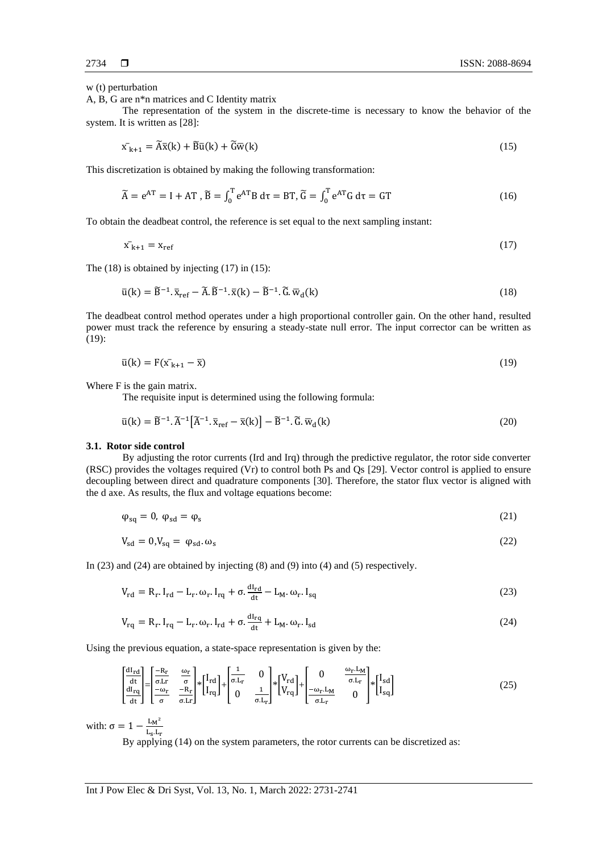w (t) perturbation

A, B, G are n\*n matrices and C Identity matrix

The representation of the system in the discrete-time is necessary to know the behavior of the system. It is written as [28]:

$$
\bar{x_{k+1}} = \tilde{A}\bar{x}(k) + \tilde{B}\bar{u}(k) + \tilde{G}\bar{w}(k)
$$
\n(15)

This discretization is obtained by making the following transformation:

$$
\widetilde{A} = e^{AT} = I + AT, \widetilde{B} = \int_0^T e^{AT} B d\tau = BT, \widetilde{G} = \int_0^T e^{AT} G d\tau = GT \tag{16}
$$

To obtain the deadbeat control, the reference is set equal to the next sampling instant:

$$
\bar{x}_{k+1} = x_{ref} \tag{17}
$$

The (18) is obtained by injecting (17) in (15):

$$
\bar{u}(k) = \tilde{B}^{-1} \cdot \bar{x}_{ref} - \tilde{A} \cdot \tilde{B}^{-1} \cdot \bar{x}(k) - \tilde{B}^{-1} \cdot \tilde{G} \cdot \bar{w}_d(k)
$$
\n(18)

The deadbeat control method operates under a high proportional controller gain. On the other hand, resulted power must track the reference by ensuring a steady-state null error. The input corrector can be written as (19):

$$
\bar{u}(k) = F(\bar{x}_{k+1} - \bar{x})\tag{19}
$$

Where F is the gain matrix.

The requisite input is determined using the following formula:

$$
\bar{u}(k) = \tilde{B}^{-1} \cdot \tilde{A}^{-1} \left[ \tilde{A}^{-1} \cdot \bar{x}_{ref} - \bar{x}(k) \right] - \tilde{B}^{-1} \cdot \tilde{G} \cdot \bar{w}_d(k)
$$
\n(20)

#### **3.1. Rotor side control**

By adjusting the rotor currents (Ird and Irq) through the predictive regulator, the rotor side converter (RSC) provides the voltages required (Vr) to control both Ps and Qs [29]. Vector control is applied to ensure decoupling between direct and quadrature components [30]. Therefore, the stator flux vector is aligned with the d axe. As results, the flux and voltage equations become:

$$
\varphi_{sq} = 0, \ \varphi_{sd} = \varphi_s \tag{21}
$$

$$
V_{sd} = 0, V_{sq} = \varphi_{sd}.\omega_s \tag{22}
$$

In (23) and (24) are obtained by injecting (8) and (9) into (4) and (5) respectively.

$$
V_{\rm rd} = R_{\rm r}. I_{\rm rd} - L_{\rm r}. \omega_{\rm r}. I_{\rm rq} + \sigma. \frac{dI_{\rm rd}}{dt} - L_{\rm M}. \omega_{\rm r}. I_{\rm sq}
$$
 (23)

$$
V_{rq} = R_r I_{rq} - L_r \omega_r I_{rd} + \sigma \frac{dl_{rq}}{dt} + L_M \omega_r I_{sd}
$$
\n(24)

Using the previous equation, a state-space representation is given by the:

$$
\begin{bmatrix} \frac{dI_{rd}}{dt} \\ \frac{dI_{rq}}{dt} \end{bmatrix} = \begin{bmatrix} \frac{R_r}{\sigma_{r}} & \frac{\omega_r}{\sigma} \\ \frac{-\omega_r}{\sigma} & \frac{-R_r}{\sigma_{r}} \end{bmatrix} * \begin{bmatrix} I_{rd} \\ I_{rq} \end{bmatrix} + \begin{bmatrix} \frac{1}{\sigma_{r}} & 0 \\ 0 & \frac{1}{\sigma_{r}} \end{bmatrix} * \begin{bmatrix} V_{rd} \\ V_{rq} \end{bmatrix} + \begin{bmatrix} 0 & \frac{\omega_r L_M}{\sigma_{r}} \\ -\frac{\omega_r L_M}{\sigma_{r}} & 0 \end{bmatrix} * \begin{bmatrix} I_{sd} \\ I_{sq} \end{bmatrix}
$$
(25)

with:  $\sigma = 1 - \frac{L_M^2}{L_M}$  $L_S.L_r$ 

By applying (14) on the system parameters, the rotor currents can be discretized as: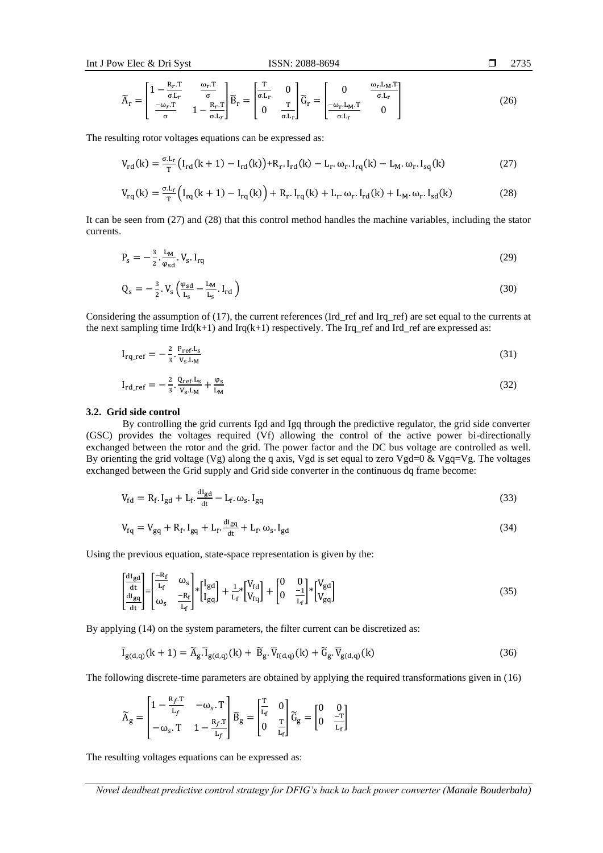$$
\Box 2735
$$

$$
\widetilde{A}_{r} = \begin{bmatrix} 1 - \frac{R_{r} \cdot T}{\sigma L_{r}} & \frac{\omega_{r} \cdot T}{\sigma} \\ -\frac{\omega_{r} \cdot T}{\sigma} & 1 - \frac{R_{r} \cdot T}{\sigma L_{r}} \end{bmatrix} \widetilde{B}_{r} = \begin{bmatrix} \frac{T}{\sigma L_{r}} & 0 \\ 0 & \frac{T}{\sigma L_{r}} \end{bmatrix} \widetilde{G}_{r} = \begin{bmatrix} 0 & \frac{\omega_{r} L_{M} \cdot T}{\sigma L_{r}} \\ -\frac{\omega_{r} L_{M} \cdot T}{\sigma L_{r}} & 0 \end{bmatrix}
$$
(26)

The resulting rotor voltages equations can be expressed as:

$$
V_{rd}(k) = \frac{\sigma L_r}{T} (I_{rd}(k+1) - I_{rd}(k)) + R_r I_{rd}(k) - L_r \omega_r I_{rq}(k) - L_M \omega_r I_{sq}(k)
$$
 (27)

$$
V_{rq}(k) = \frac{\sigma L_r}{T} \Big( I_{rq}(k+1) - I_{rq}(k) \Big) + R_r I_{rq}(k) + L_r \omega_r I_{rd}(k) + L_M \omega_r I_{sd}(k) \tag{28}
$$

It can be seen from (27) and (28) that this control method handles the machine variables, including the stator currents.

$$
P_s = -\frac{3}{2} \cdot \frac{L_M}{\varphi_{sd}} \cdot V_s \cdot I_{rq} \tag{29}
$$

$$
Q_s = -\frac{3}{2} \cdot V_s \left(\frac{\varphi_{sd}}{L_s} - \frac{L_M}{L_s} \cdot I_{rd}\right) \tag{30}
$$

Considering the assumption of (17), the current references (Ird ref and Irq ref) are set equal to the currents at the next sampling time  $Ird(k+1)$  and  $Irq(k+1)$  respectively. The  $Irq\_ref$  and  $Ird\_ref$  are expressed as:

$$
I_{rq\_ref} = -\frac{2}{3} \cdot \frac{P_{ref} L_s}{V_s L_M}
$$
(31)

$$
I_{rd\_ref} = -\frac{2}{3} \cdot \frac{Q_{ref} L_S}{V_S L_M} + \frac{\varphi_S}{L_M}
$$
(32)

#### **3.2. Grid side control**

By controlling the grid currents Igd and Igq through the predictive regulator, the grid side converter (GSC) provides the voltages required (Vf) allowing the control of the active power bi-directionally exchanged between the rotor and the grid. The power factor and the DC bus voltage are controlled as well. By orienting the grid voltage (Vg) along the q axis, Vgd is set equal to zero Vgd=0 & Vgq=Vg. The voltages exchanged between the Grid supply and Grid side converter in the continuous dq frame become:

$$
V_{fd} = R_f I_{gd} + L_f \frac{dl_{gd}}{dt} - L_f \omega_s I_{gq}
$$
\n(33)

$$
V_{fq} = V_{gq} + R_f I_{gq} + L_f \frac{dl_{gq}}{dt} + L_f \omega_s I_{gd}
$$
\n(34)

Using the previous equation, state-space representation is given by the:

$$
\begin{bmatrix} \frac{dI_{gd}}{dt} \\ \frac{dI_{gq}}{dt} \end{bmatrix} = \begin{bmatrix} -R_f & \omega_s \\ L_f & \omega_s \\ \omega_s & \frac{-R_f}{L_f} \end{bmatrix} * \begin{bmatrix} I_{gd} \\ I_{gq} \end{bmatrix} + \frac{1}{L_f} * \begin{bmatrix} V_{fd} \\ V_{fq} \end{bmatrix} + \begin{bmatrix} 0 & 0 \\ 0 & \frac{-1}{L_f} \end{bmatrix} * \begin{bmatrix} V_{gd} \\ V_{gq} \end{bmatrix}
$$
(35)

By applying (14) on the system parameters, the filter current can be discretized as:

$$
\overline{I}_{g(d,q)}(k+1) = \widetilde{A}_g \cdot \overline{I}_{g(d,q)}(k) + \widetilde{B}_g \cdot \overline{V}_{f(d,q)}(k) + \widetilde{G}_g \cdot \overline{V}_{g(d,q)}(k)
$$
\n(36)

The following discrete-time parameters are obtained by applying the required transformations given in (16)

$$
\widetilde{A}_g = \begin{bmatrix} 1 - \frac{R_f \cdot T}{L_f} & -\omega_s \cdot T \\ -\omega_s \cdot T & 1 - \frac{R_f \cdot T}{L_f} \end{bmatrix} \widetilde{B}_g = \begin{bmatrix} \frac{T}{L_f} & 0 \\ 0 & \frac{T}{L_f} \end{bmatrix} \widetilde{G}_g = \begin{bmatrix} 0 & 0 \\ 0 & \frac{-T}{L_f} \end{bmatrix}
$$

The resulting voltages equations can be expressed as: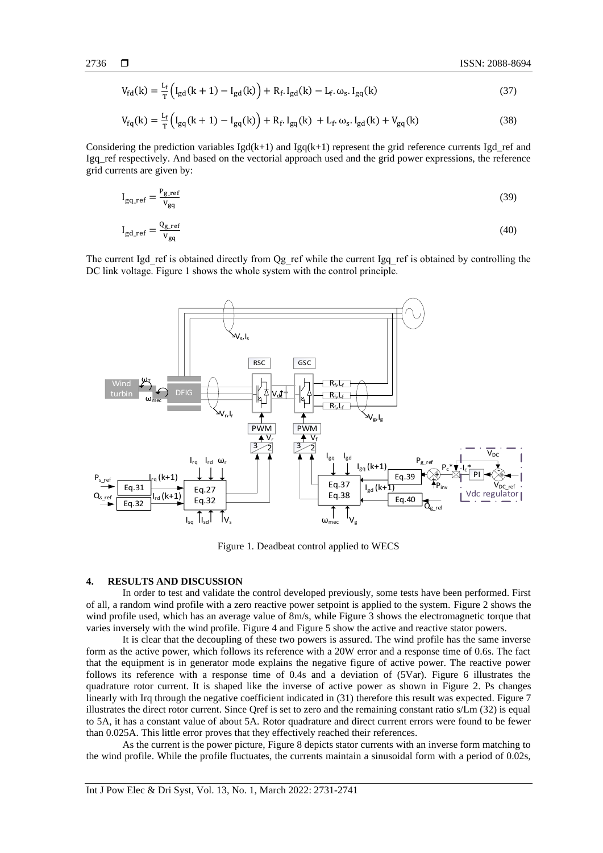$$
V_{\text{fd}}(k) = \frac{L_f}{T} \Big( I_{\text{gd}}(k+1) - I_{\text{gd}}(k) \Big) + R_f \cdot I_{\text{gd}}(k) - L_f \cdot \omega_s \cdot I_{\text{gq}}(k) \tag{37}
$$

$$
V_{fq}(k) = \frac{L_f}{T} \Big( I_{gq}(k+1) - I_{gq}(k) \Big) + R_f I_{gq}(k) + L_f \omega_s I_{gd}(k) + V_{gq}(k) \tag{38}
$$

Considering the prediction variables  $Igd(k+1)$  and  $Igq(k+1)$  represent the grid reference currents Igd\_ref and Igq\_ref respectively. And based on the vectorial approach used and the grid power expressions, the reference grid currents are given by:

$$
I_{gq\_ref} = \frac{P_{gr}^{ref}}{V_{gq}}
$$
 (39)

$$
I_{gd\_ref} = \frac{Q_{g\_ref}}{V_{gq}}
$$
 (40)

The current Igd\_ref is obtained directly from Qg\_ref while the current Igq\_ref is obtained by controlling the DC link voltage. Figure 1 shows the whole system with the control principle.



Figure 1*.* Deadbeat control applied to WECS

### **4. RESULTS AND DISCUSSION**

In order to test and validate the control developed previously, some tests have been performed. First of all, a random wind profile with a zero reactive power setpoint is applied to the system. Figure 2 shows the wind profile used, which has an average value of 8m/s, while Figure 3 shows the electromagnetic torque that varies inversely with the wind profile. Figure 4 and Figure 5 show the active and reactive stator powers.

It is clear that the decoupling of these two powers is assured. The wind profile has the same inverse form as the active power, which follows its reference with a 20W error and a response time of 0.6s. The fact that the equipment is in generator mode explains the negative figure of active power. The reactive power follows its reference with a response time of 0.4s and a deviation of (5Var). Figure 6 illustrates the quadrature rotor current. It is shaped like the inverse of active power as shown in Figure 2. Ps changes linearly with Irq through the negative coefficient indicated in (31) therefore this result was expected. Figure 7 illustrates the direct rotor current. Since Qref is set to zero and the remaining constant ratio s/Lm (32) is equal to 5A, it has a constant value of about 5A. Rotor quadrature and direct current errors were found to be fewer than 0.025A. This little error proves that they effectively reached their references.

As the current is the power picture, Figure 8 depicts stator currents with an inverse form matching to the wind profile. While the profile fluctuates, the currents maintain a sinusoidal form with a period of 0.02s,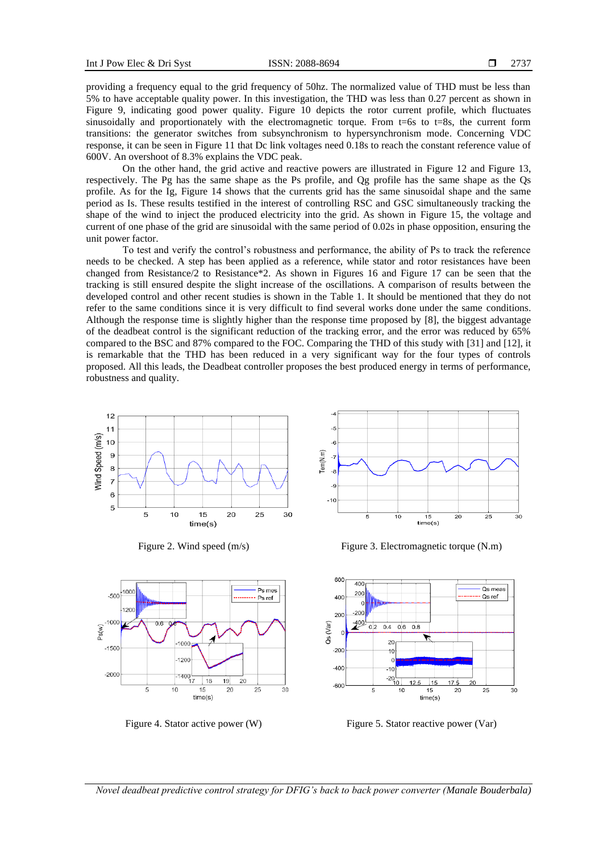providing a frequency equal to the grid frequency of 50hz. The normalized value of THD must be less than 5% to have acceptable quality power. In this investigation, the THD was less than 0.27 percent as shown in Figure 9, indicating good power quality. Figure 10 depicts the rotor current profile, which fluctuates sinusoidally and proportionately with the electromagnetic torque. From  $t=6s$  to  $t=8s$ , the current form transitions: the generator switches from subsynchronism to hypersynchronism mode. Concerning VDC response, it can be seen in Figure 11 that Dc link voltages need 0.18s to reach the constant reference value of 600V. An overshoot of 8.3% explains the VDC peak.

On the other hand, the grid active and reactive powers are illustrated in Figure 12 and Figure 13, respectively. The Pg has the same shape as the Ps profile, and Qg profile has the same shape as the Qs profile. As for the Ig, Figure 14 shows that the currents grid has the same sinusoidal shape and the same period as Is. These results testified in the interest of controlling RSC and GSC simultaneously tracking the shape of the wind to inject the produced electricity into the grid. As shown in Figure 15, the voltage and current of one phase of the grid are sinusoidal with the same period of 0.02s in phase opposition, ensuring the unit power factor.

To test and verify the control's robustness and performance, the ability of Ps to track the reference needs to be checked. A step has been applied as a reference, while stator and rotor resistances have been changed from Resistance/2 to Resistance\*2. As shown in Figures 16 and Figure 17 can be seen that the tracking is still ensured despite the slight increase of the oscillations. A comparison of results between the developed control and other recent studies is shown in the Table 1. It should be mentioned that they do not refer to the same conditions since it is very difficult to find several works done under the same conditions. Although the response time is slightly higher than the response time proposed by [8], the biggest advantage of the deadbeat control is the significant reduction of the tracking error, and the error was reduced by 65% compared to the BSC and 87% compared to the FOC. Comparing the THD of this study with [31] and [12], it is remarkable that the THD has been reduced in a very significant way for the four types of controls proposed. All this leads, the Deadbeat controller proposes the best produced energy in terms of performance, robustness and quality.





1000

120

 $140$ 

10

17 18

15

 $time(s)$ 

19

 $20$ 

20

25

30

 $100$ 

1200

 $0.6$ 

5

 $-500$ 

Ps(w)

 $-150$ 

 $-2000$ 

Ps mes

Ps ref



Figure 2. Wind speed (m/s) Figure 3. Electromagnetic torque (N.m)



Figure 4. Stator active power (W) Figure 5. Stator reactive power (Var)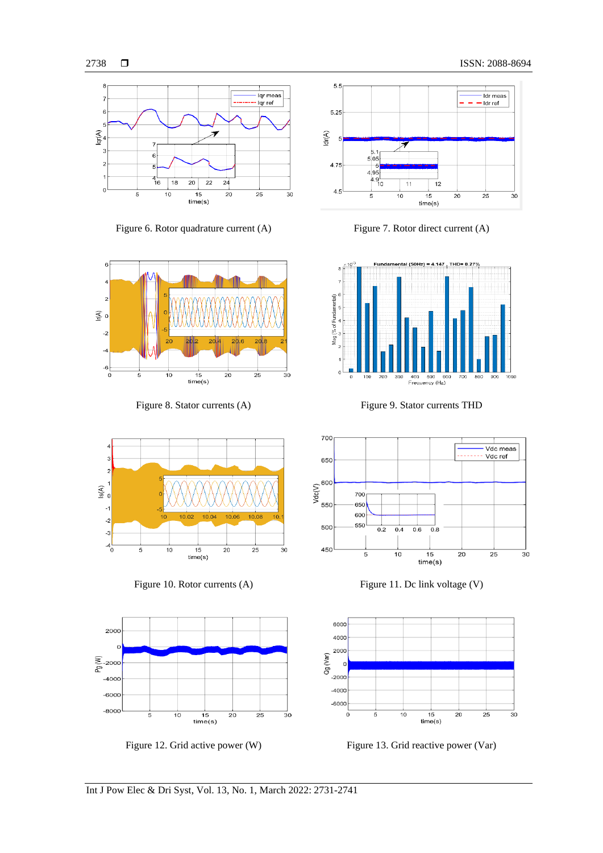<sub>3</sub>

2



Figure 6. Rotor quadrature current (A) Figure 7. Rotor direct current (A)







Figure 8. Stator currents (A) Figure 9. Stator currents THD









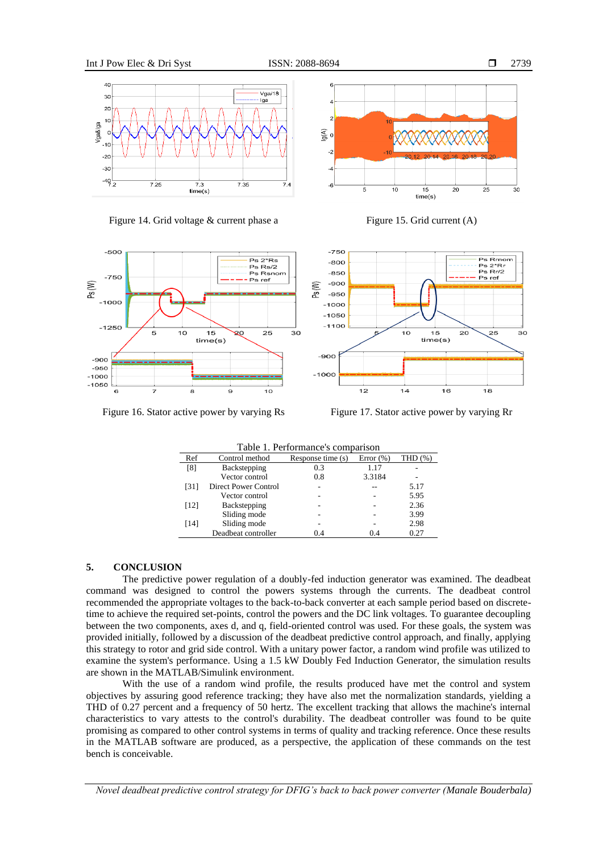









Figure 16. Stator active power by varying Rs Figure 17. Stator active power by varying Rr

| Table 1. Performance's comparison |                      |                   |               |         |
|-----------------------------------|----------------------|-------------------|---------------|---------|
| Ref                               | Control method       | Response time (s) | Error $(\% )$ | THD (%) |
| [8]                               | Backstepping         | 0.3               | 1.17          |         |
|                                   | Vector control       | 0.8               | 3.3184        |         |
| [31]                              | Direct Power Control | ٠                 |               | 5.17    |
|                                   | Vector control       | -                 |               | 5.95    |
| [12]                              | Backstepping         |                   |               | 2.36    |
|                                   | Sliding mode         |                   |               | 3.99    |
| [14]                              | Sliding mode         | -                 |               | 2.98    |
|                                   | Deadbeat controller  | 0.4               | 04            | 0.27    |

#### **5. CONCLUSION**

The predictive power regulation of a doubly-fed induction generator was examined. The deadbeat command was designed to control the powers systems through the currents. The deadbeat control recommended the appropriate voltages to the back-to-back converter at each sample period based on discretetime to achieve the required set-points, control the powers and the DC link voltages. To guarantee decoupling between the two components, axes d, and q, field-oriented control was used. For these goals, the system was provided initially, followed by a discussion of the deadbeat predictive control approach, and finally, applying this strategy to rotor and grid side control. With a unitary power factor, a random wind profile was utilized to examine the system's performance. Using a 1.5 kW Doubly Fed Induction Generator, the simulation results are shown in the MATLAB/Simulink environment.

With the use of a random wind profile, the results produced have met the control and system objectives by assuring good reference tracking; they have also met the normalization standards, yielding a THD of 0.27 percent and a frequency of 50 hertz. The excellent tracking that allows the machine's internal characteristics to vary attests to the control's durability. The deadbeat controller was found to be quite promising as compared to other control systems in terms of quality and tracking reference. Once these results in the MATLAB software are produced, as a perspective, the application of these commands on the test bench is conceivable.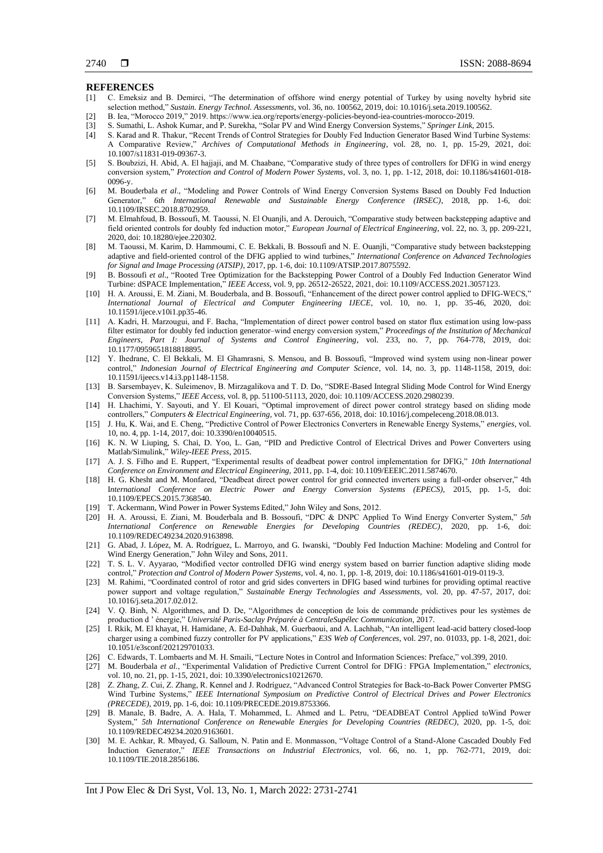# **REFERENCES**<br>[1] C. Emeksiz a

- [1] C. Emeksiz and B. Demirci, "The determination of offshore wind energy potential of Turkey by using novelty hybrid site selection method," *Sustain. Energy Technol. Assessments*, vol. 36, no. 100562, 2019, doi: 10.1016/j.seta.2019.100562.
- [2] B. Iea, "Morocco 2019," 2019. https://www.iea.org/reports/energy-policies-beyond-iea-countries-morocco-2019.
- [3] S. Sumathi, L. Ashok Kumar, and P. Surekha, "Solar PV and Wind Energy Conversion Systems," *Springer Link*, 2015.
- [4] S. Karad and R. Thakur, "Recent Trends of Control Strategies for Doubly Fed Induction Generator Based Wind Turbine Systems: A Comparative Review," *Archives of Computational Methods in Engineering*, vol. 28, no. 1, pp. 15-29, 2021, doi: 10.1007/s11831-019-09367-3.
- [5] S. Boubzizi, H. Abid, A. El hajjaji, and M. Chaabane, "Comparative study of three types of controllers for DFIG in wind energy conversion system," *Protection and Control of Modern Power Systems*, vol. 3, no. 1, pp. 1-12, 2018, doi: 10.1186/s41601-018- 0096-y.
- [6] M. Bouderbala *et al*., "Modeling and Power Controls of Wind Energy Conversion Systems Based on Doubly Fed Induction Generator," *6th International Renewable and Sustainable Energy Conference (IRSEC)*, 2018, pp. 1-6, doi: 10.1109/IRSEC.2018.8702959.
- [7] M. Elmahfoud, B. Bossoufi, M. Taoussi, N. El Ouanjli, and A. Derouich, "Comparative study between backstepping adaptive and field oriented controls for doubly fed induction motor," *European Journal of Electrical Engineering*, vol. 22, no. 3, pp. 209-221, 2020, doi: 10.18280/ejee.220302.
- [8] M. Taoussi, M. Karim, D. Hammoumi, C. E. Bekkali, B. Bossoufi and N. E. Ouanjli, "Comparative study between backstepping adaptive and field-oriented control of the DFIG applied to wind turbines," *International Conference on Advanced Technologies for Signal and Image Processing (ATSIP)*, 2017, pp. 1-6, doi: 10.1109/ATSIP.2017.8075592.
- [9] B. Bossoufi *et al*., "Rooted Tree Optimization for the Backstepping Power Control of a Doubly Fed Induction Generator Wind Turbine: dSPACE Implementation," *IEEE Access*, vol. 9, pp. 26512-26522, 2021, doi: 10.1109/ACCESS.2021.3057123.
- [10] H. A. Aroussi, E. M. Ziani, M. Bouderbala, and B. Bossoufi, "Enhancement of the direct power control applied to DFIG-WECS," *International Journal of Electrical and Computer Engineering IJECE*, vol. 10, no. 1, pp. 35-46, 2020, doi: 10.11591/ijece.v10i1.pp35-46.
- [11] A. Kadri, H. Marzougui, and F. Bacha, "Implementation of direct power control based on stator flux estimation using low-pass filter estimator for doubly fed induction generator–wind energy conversion system," *Proceedings of the Institution of Mechanical Engineers, Part I: Journal of Systems and Control Engineering*, vol. 233, no. 7, pp. 764-778, 2019, doi: 10.1177/0959651818818895.
- [12] Y. Ihedrane, C. El Bekkali, M. El Ghamrasni, S. Mensou, and B. Bossoufi, "Improved wind system using non-linear power control," *Indonesian Journal of Electrical Engineering and Computer Science*, vol. 14, no. 3, pp. 1148-1158, 2019, doi: 10.11591/ijeecs.v14.i3.pp1148-1158.
- [13] B. Sarsembayev, K. Suleimenov, B. Mirzagalikova and T. D. Do, "SDRE-Based Integral Sliding Mode Control for Wind Energy Conversion Systems," *IEEE Access*, vol. 8, pp. 51100-51113, 2020, doi: 10.1109/ACCESS.2020.2980239.
- [14] H. Lhachimi, Y. Sayouti, and Y. El Kouari, "Optimal improvement of direct power control strategy based on sliding mode controllers," *Computers & Electrical Engineering*, vol. 71, pp. 637-656, 2018, doi: 10.1016/j.compeleceng.2018.08.013.
- [15] J. Hu, K. Wai, and E. Cheng, "Predictive Control of Power Electronics Converters in Renewable Energy Systems," *energies*, vol. 10, no. 4, pp. 1-14, 2017, doi: 10.3390/en10040515.
- [16] K. N. W Liuping, S. Chai, D. Yoo, L. Gan, "PID and Predictive Control of Electrical Drives and Power Converters using Matlab/Simulink," *Wiley-IEEE Press*, 2015.
- [17] A. J. S. Filho and E. Ruppert, "Experimental results of deadbeat power control implementation for DFIG," *10th International Conference on Environment and Electrical Engineering,* 2011, pp. 1-4, doi: 10.1109/EEEIC.2011.5874670.
- [18] H. G. Khesht and M. Monfared, "Deadbeat direct power control for grid connected inverters using a full-order observer," 4th I*nternational Conference on Electric Power and Energy Conversion Systems (EPECS),* 2015, pp. 1-5, doi: 10.1109/EPECS.2015.7368540.
- [19] T. Ackermann, Wind Power in Power Systems Edited," John Wiley and Sons, 2012.
- [20] H. A. Aroussi, E. Ziani, M. Bouderbala and B. Bossoufi, "DPC & DNPC Applied To Wind Energy Converter System," *5th International Conference on Renewable Energies for Developing Countries (REDEC)*, 2020, pp. 1-6, doi: 10.1109/REDEC49234.2020.9163898.
- [21] G. Abad, J. López, M. A. Rodríguez, L. Marroyo, and G. Iwanski, "Doubly Fed Induction Machine: Modeling and Control for Wind Energy Generation," John Wiley and Sons, 2011.
- [22] T. S. L. V. Ayyarao, "Modified vector controlled DFIG wind energy system based on barrier function adaptive sliding mode control," *Protection and Control of Modern Power Systems*, vol. 4, no. 1, pp. 1-8, 2019, doi: 10.1186/s41601-019-0119-3.
- [23] M. Rahimi, "Coordinated control of rotor and grid sides converters in DFIG based wind turbines for providing optimal reactive power support and voltage regulation," *Sustainable Energy Technologies and Assessments*, vol. 20, pp. 47-57, 2017, doi: 10.1016/j.seta.2017.02.012.
- [24] V. Q. Binh, N. Algorithmes, and D. De, "Algorithmes de conception de lois de commande prédictives pour les systèmes de production d ' énergie," *Université Paris-Saclay Préparée à CentraleSupélec Communication,* 2017.
- [25] I. Rkik, M. El khayat, H. Hamidane, A. Ed-Dahhak, M. Guerbaoui, and A. Lachhab, "An intelligent lead-acid battery closed-loop charger using a combined fuzzy controller for PV applications," *E3S Web of Conferences*, vol. 297, no. 01033, pp. 1-8, 2021, doi: 10.1051/e3sconf/202129701033.
- [26] C. Edwards, T. Lombaerts and M. H. Smaili, "Lecture Notes in Control and Information Sciences: Preface," vol.399, 2010.
- [27] M. Bouderbala *et al.*, "Experimental Validation of Predictive Current Control for DFIG : FPGA Implementation," *electronics*, vol. 10, no. 21, pp. 1-15, 2021, doi: 10.3390/electronics10212670.
- [28] Z. Zhang, Z. Cui, Z. Zhang, R. Kennel and J. Rodríguez, "Advanced Control Strategies for Back-to-Back Power Converter PMSG Wind Turbine Systems," *IEEE International Symposium on Predictive Control of Electrical Drives and Power Electronics (PRECEDE)*, 2019, pp. 1-6, doi: 10.1109/PRECEDE.2019.8753366.
- [29] B. Manale, B. Badre, A. A. Hala, T. Mohammed, L. Ahmed and L. Petru, "DEADBEAT Control Applied toWind Power System," *5th International Conference on Renewable Energies for Developing Countries (REDEC)*, 2020, pp. 1-5, doi: 10.1109/REDEC49234.2020.9163601.
- [30] M. E. Achkar, R. Mbayed, G. Salloum, N. Patin and E. Monmasson, "Voltage Control of a Stand-Alone Cascaded Doubly Fed Induction Generator," *IEEE Transactions on Industrial Electronics*, vol. 66, no. 1, pp. 762-771, 2019, doi: 10.1109/TIE.2018.2856186.